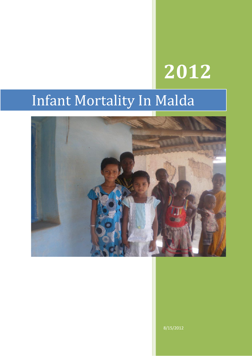# **2012**

# Infant Mortality In Malda



8/15/2012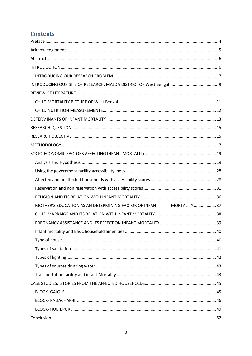# **Contents**

| MOTHER'S EDUCATION AS AN DETERMINING FACTOR OF INFANT MORTALITY 37 |  |
|--------------------------------------------------------------------|--|
|                                                                    |  |
|                                                                    |  |
|                                                                    |  |
|                                                                    |  |
|                                                                    |  |
|                                                                    |  |
|                                                                    |  |
|                                                                    |  |
|                                                                    |  |
|                                                                    |  |
|                                                                    |  |
|                                                                    |  |
|                                                                    |  |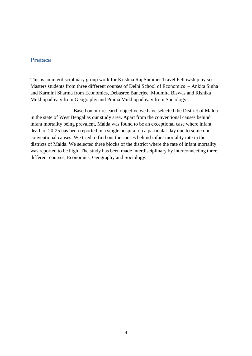# <span id="page-3-0"></span>**Preface**

This is an interdisciplinary group work for Krishna Raj Summer Travel Fellowship by six Masters students from three different courses of Delhi School of Economics – Ankita Sinha and Karmini Sharma from Economics, Debasree Banerjee, Moumita Biswas and Rishika Mukhopadhyay from Geography and Prama Mukhopadhyay from Sociology.

 Based on our research objective we have selected the District of Malda in the state of West Bengal as our study area. Apart from the conventional causes behind infant mortality being prevalent, Malda was found to be an exceptional case where infant death of 20-25 has been reported in a single hospital on a particular day due to some non conventional causes. We tried to find out the causes behind infant mortality rate in the districts of Malda. We selected three blocks of the district where the rate of infant mortality was reported to be high. The study has been made interdisciplinary by interconnecting three different courses, Economics, Geography and Sociology.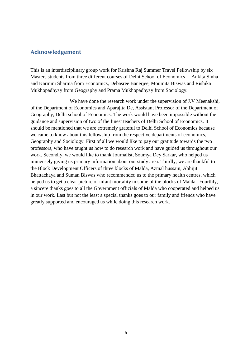# <span id="page-4-0"></span>**Acknowledgement**

This is an interdisciplinary group work for Krishna Raj Summer Travel Fellowship by six Masters students from three different courses of Delhi School of Economics – Ankita Sinha and Karmini Sharma from Economics, Debasree Banerjee, Moumita Biswas and Rishika Mukhopadhyay from Geography and Prama Mukhopadhyay from Sociology.

We have done the research work under the supervision of J.V Meenakshi, of the Department of Economics and Aparajita De, Assistant Professor of the Department of Geography, Delhi school of Economics. The work would have been impossible without the guidance and supervision of two of the finest teachers of Delhi School of Economics. It should be mentioned that we are extremely grateful to Delhi School of Economics because we came to know about this fellowship from the respective departments of economics, Geography and Sociology. First of all we would like to pay our gratitude towards the two professors, who have taught us how to do research work and have guided us throughout our work. Secondly, we would like to thank Journalist, Soumya Dey Sarkar, who helped us immensely giving us primary information about our study area. Thirdly, we are thankful to the Block Development Officers of three blocks of Malda, Azmal hussain, Abhijit Bhattachaya and Suman Biswas who recommended us to the primary health centres, which helped us to get a clear picture of infant mortality in some of the blocks of Malda. Fourthly, a sincere thanks goes to all the Government officials of Malda who cooperated and helped us in our work. Last but not the least a special thanks goes to our family and friends who have greatly supported and encouraged us while doing this research work.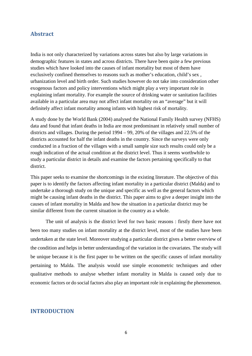#### <span id="page-5-0"></span>**Abstract**

India is not only characterized by variations across states but also by large variations in demographic features in states and across districts. There have been quite a few previous studies which have looked into the causes of infant mortality but most of them have exclusively confined themselves to reasons such as mother's education, child's sex , urbanization level and birth order. Such studies however do not take into consideration other exogenous factors and policy interventions which might play a very important role in explaining infant mortality. For example the source of drinking water or sanitation facilities available in a particular area may not affect infant mortality on an "average" but it will definitely affect infant mortality among infants with highest risk of mortality.

A study done by the World Bank (2004) analysed the National Family Health survey (NFHS) data and found that infant deaths in India are most predominant in relatively small number of districts and villages. During the period 1994 – 99, 20% of the villages and 22.5% of the districts accounted for half the infant deaths in the country. Since the surveys were only conducted in a fraction of the villages with a small sample size such results could only be a rough indication of the actual condition at the district level. Thus it seems worthwhile to study a particular district in details and examine the factors pertaining specifically to that district.

This paper seeks to examine the shortcomings in the existing literature. The objective of this paper is to identify the factors affecting infant mortality in a particular district (Malda) and to undertake a thorough study on the unique and specific as well as the general factors which might be causing infant deaths in the district. This paper aims to give a deeper insight into the causes of infant mortality in Malda and how the situation in a particular district may be similar different from the current situation in the country as a whole.

The unit of analysis is the district level for two basic reasons : firstly there have not been too many studies on infant mortality at the district level, most of the studies have been undertaken at the state level. Moreover studying a particular district gives a better overview of the condition and helps in better understanding of the variation in the covariates. The study will be unique because it is the first paper to be written on the specific causes of infant mortality pertaining to Malda. The analysis would use simple econometric techniques and other qualitative methods to analyse whether infant mortality in Malda is caused only due to economic factors or do social factors also play an important role in explaining the phenomenon.

#### <span id="page-5-1"></span>**INTRODUCTION**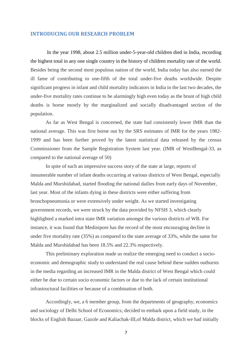#### <span id="page-6-0"></span>**INTRODUCING OUR RESEARCH PROBLEM**

In the year 1998, about 2.5 million under-5-year-old children died in India, recording the highest total in any one single country in the history of children mortality rate of the world. Besides being the second most populous nation of the world, India today has also earned the ill fame of contributing to one-fifth of the total under-five deaths worldwide. Despite significant progress in infant and child mortality indicators in India in the last two decades, the under-five mortality rates continue to be alarmingly high even today as the brunt of high child deaths is borne mostly by the marginalized and socially disadvantaged section of the population.

As far as West Bengal is concerned, the state had consistently lower IMR than the national average. This was first borne out by the SRS estimates of IMR for the years 1982- 1999 and has been further proved by the latest statistical data released by the census Commissioner from the Sample Registration System last year. (IMR of WestBengal-33, as compared to the national average of 50)

In spite of such an impressive success story of the state at large, reports of innumerable number of infant deaths occurring at various districts of West Bengal, especially Malda and Murshidabad, started flooding the national dailies from early days of November, last year. Most of the infants dying in these districts were either suffering from bronchopneumonia or were extensively under weight. As we started investigating government records, we were struck by the data provided by NFSH 3, which clearly highlighted a marked intra state IMR variation amongst the various districts of WB. For instance, it was found that Medinipore has the record of the most encouraging decline in under five mortality rate (35%) as compared to the state average of 33%, while the same for Malda and Murshidabad has been 18.5% and 22.3% respectively.

This preliminary exploration made us realize the emerging need to conduct a socioeconomic and demographic study to understand the real cause behind these sudden outbursts in the media regarding an increased IMR in the Malda district of West Bengal which could either be due to certain socio economic factors or due to the lack of certain institutional infrastructural facilities or because of a combination of both.

Accordingly, we, a 6 member group, from the departments of geography, economics and sociology of Delhi School of Economics; decided to embark upon a field study, in the blocks of English Bazaar, Gazole and Kaliachak-III,of Malda district, which we had initially

7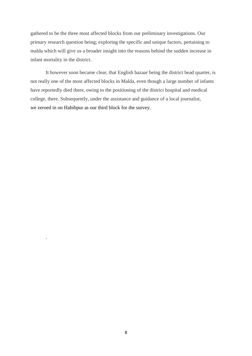gathered to be the three most affected blocks from our preliminary investigations. Our primary research question being; exploring the specific and unique factors, pertaining to malda which will give us a broader insight into the reasons behind the sudden increase in infant mortality in the district.

It however soon became clear, that English bazaar being the district head quarter, is not really one of the most affected blocks in Malda, even though a large number of infants have reportedly died there, owing to the positioning of the district hospital and medical college, there. Subsequently, under the assistance and guidance of a local journalist, we zeroed in on Habibpur as our third block for the survey.

.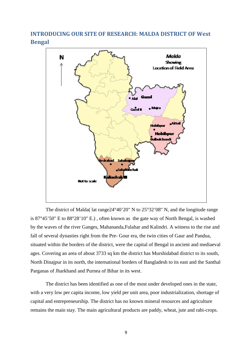<span id="page-8-0"></span>**INTRODUCING OUR SITE OF RESEARCH: MALDA DISTRICT OF West Bengal**



The district of Malda( lat range24°40'20" N to 25°32'08" N, and the [longitude](http://en.wikipedia.org/wiki/Longitude) range is 87°45'50" E to 88°28'10" E.) , often known as the gate way of North Bengal, is washed by the waves of the river Ganges, Mahananda,Fulahar and Kalindri. A witness to the rise and fall of several dynasties right from the Pre- Gour era, the twin cities of Gaur and Pandua, situated within the borders of the district, were the capital of Bengal in ancient and mediaeval ages. Covering an area of about 3733 sq km the district has Murshidabad district to its south, North Dinajpur in its north, the international borders of Bangladesh to its east and the Santhal Parganas of Jharkhand and Purnea of Bihar in its west.

The district has been identified as one of the most under developed ones in the state, with a very low per capita income, low yield per unit area, poor industrialization, shortage of capital and entrepreneurship. The district has no known mineral resources and agriculture remains the main stay. The main agricultural products are [paddy,](http://www.avoo.com/wiki/Paddy) [wheat,](http://www.avoo.com/wiki/Wheat) [jute](http://www.avoo.com/wiki/Jute) and rabi-crops.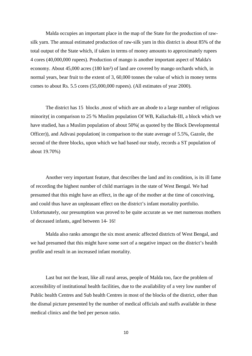Malda occupies an important place in the map of the State for the production of rawsilk yarn. The annual estimated production of raw-silk yarn in this district is about 85% of the total output of the State which, if taken in terms of money amounts to approximately rupees 4 [cores](http://www.avoo.com/wiki/Crore) (40,000,000 rupees). Production of [mango](http://www.avoo.com/wiki/Mango) is another important aspect of Malda's economy. About 45,000 acres (180 km²) of land are covered by mango orchards which, in normal years, bear fruit to the extent of 3, 60,000 tonnes the value of which in money terms comes to about Rs. 5.5 cores (55,000,000 rupees). (All estimates of year 2000).

The district has 15 blocks ,most of which are an abode to a large number of religious minority( in comparison to 25 % Muslim population Of WB, Kaliachak-III, a block which we have studied, has a Muslim population of about 50%( as quoted by the Block Developmental Officer)), and Adivasi population( in comparison to the state average of 5.5%, Gazole, the second of the three blocks, upon which we had based our study, records a ST population of about 19.70%)

Another very important feature, that describes the land and its condition, is its ill fame of recording the highest number of child marriages in the state of West Bengal. We had presumed that this might have an effect, in the age of the mother at the time of conceiving, and could thus have an unpleasant effect on the district's infant mortality portfolio. Unfortunately, our presumption was proved to be quite accurate as we met numerous mothers of deceased infants, aged between 14- 16!

Malda also ranks amongst the six most arsenic affected districts of West Bengal, and we had presumed that this might have some sort of a negative impact on the district's health profile and result in an increased infant mortality.

Last but not the least, like all rural areas, people of Malda too, face the problem of accessibility of institutional health facilities, due to the availability of a very low number of Public health Centres and Sub health Centres in most of the blocks of the district, other than the dismal picture presented by the number of medical officials and staffs available in these medical clinics and the bed per person ratio.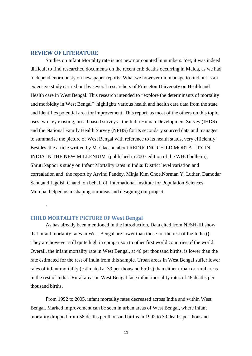#### <span id="page-10-0"></span>**REVIEW OF LITERATURE**

Studies on Infant Mortality rate is not new nor counted in numbers. Yet, it was indeed difficult to find researched documents on the recent crib deaths occurring in Malda, as we had to depend enormously on newspaper reports. What we however did manage to find out is an extensive study carried out by several researchers of Princeton University on Health and Health care in West Bengal. This research intended to "explore the determinants of mortality and morbidity in West Bengal" highlights various health and health care data from the state and identifies potential area for improvement. This report, as most of the others on this topic, uses two key existing, broad based surveys - the India Human Development Survey (IHDS) and the National Family Health Survey (NFHS) for its secondary sourced data and manages to summarise the picture of West Bengal with reference to its health status, very efficiently. Besides, the article written by M. Claeson about REDUCING CHILD MORTALITY IN INDIA IN THE NEW MILLENIUM (published in 2007 edition of the WHO bulletin), Shruti kapoor's study on Infant Mortality rates in India: District level variation and correalation and the report by Arvind Pandey, Minja Kim Choe,Norman Y. Luther, Damodar Sahu,and Jagdish Chand, on behalf of International Institute for Population Sciences, Mumbai helped us in shaping our ideas and designing our project.

#### <span id="page-10-1"></span>**CHILD MORTALITY PICTURE OF West Bengal**

.

As has already been mentioned in the introduction, Data cited from NFSH-III show that infant mortality rates in West Bengal are lower than those for the rest of the India.**()**. They are however still quite high in comparison to other first world countries of the world. Overall, the infant mortality rate in West Bengal, at 46 per thousand births, is lower than the rate estimated for the rest of India from this sample. Urban areas in West Bengal suffer lower rates of infant mortality (estimated at 39 per thousand births) than either urban or rural areas in the rest of India. Rural areas in West Bengal face infant mortality rates of 48 deaths per thousand births.

From 1992 to 2005, infant mortality rates decreased across India and within West Bengal. Marked improvement can be seen in urban areas of West Bengal, where infant mortality dropped from 58 deaths per thousand births in 1992 to 39 deaths per thousand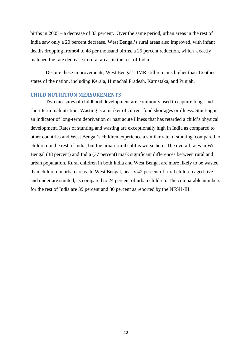births in 2005 – a decrease of 33 percent. Over the same period, urban areas in the rest of India saw only a 20 percent decrease. West Bengal's rural areas also improved, with infant deaths dropping from64 to 48 per thousand births, a 25 percent reduction, which exactly matched the rate decrease in rural areas in the rest of India.

Despite these improvements, West Bengal's IMR still remains higher than 16 other states of the nation, including Kerala, Himachal Pradesh, Karnataka, and Punjab.

#### <span id="page-11-0"></span>**CHILD NUTRITION MEASUREMENTS**

Two measures of childhood development are commonly used to capture long- and short term malnutrition. Wasting is a marker of current food shortages or illness. Stunting is an indicator of long-term deprivation or past acute illness that has retarded a child's physical development. Rates of stunting and wasting are exceptionally high in India as compared to other countries and West Bengal's children experience a similar rate of stunting, compared to children in the rest of India, but the urban-rural split is worse here. The overall rates in West Bengal (38 percent) and India (37 percent) mask significant differences between rural and urban population. Rural children in both India and West Bengal are more likely to be wasted than children in urban areas. In West Bengal, nearly 42 percent of rural children aged five and under are stunted, as compared to 24 percent of urban children. The comparable numbers for the rest of India are 39 percent and 30 percent as reported by the NFSH-III.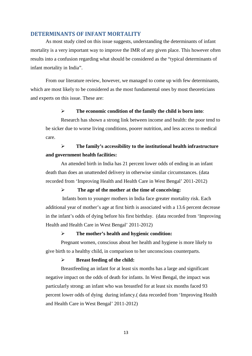#### <span id="page-12-0"></span>**DETERMINANTS OF INFANT MORTALITY**

As most study cited on this issue suggests, understanding the determinants of infant mortality is a very important way to improve the IMR of any given place. This however often results into a confusion regarding what should be considered as the "typical determinants of infant mortality in India".

From our literature review, however, we managed to come up with few determinants, which are most likely to be considered as the most fundamental ones by most theoreticians and experts on this issue. These are:

#### **The economic condition of the family the child is born into**:

Research has shown a strong link between income and health: the poor tend to be sicker due to worse living conditions, poorer nutrition, and less access to medical care.

# **The family's accessibility to the institutional health infrastructure and government health facilities:**

An attended birth in India has 21 percent lower odds of ending in an infant death than does an unattended delivery in otherwise similar circumstances. (data recorded from 'Improving Health and Health Care in West Bengal' 2011-2012)

#### **The age of the mother at the time of conceiving:**

Infants born to younger mothers in India face greater mortality risk. Each additional year of mother's age at first birth is associated with a 13.6 percent decrease in the infant's odds of dying before his first birthday. (data recorded from 'Improving Health and Health Care in West Bengal' 2011-2012)

#### **The mother's health and hygienic condition:**

Pregnant women, conscious about her health and hygiene is more likely to give birth to a healthy child, in comparison to her unconscious counterparts.

#### **Breast feeding of the child:**

Breastfeeding an infant for at least six months has a large and significant negative impact on the odds of death for infants. In West Bengal, the impact was particularly strong: an infant who was breastfed for at least six months faced 93 percent lower odds of dying during infancy.( data recorded from 'Improving Health and Health Care in West Bengal' 2011-2012)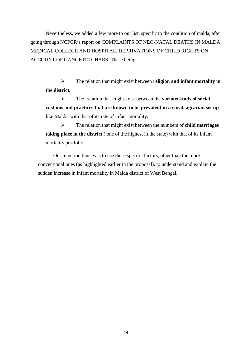Nevertheless, we added a few more to our list, specific to the condition of malda, after going through NCPCR's report on COMPLAINTS OF NEO-NATAL DEATHS IN MALDA MEDICAL COLLEGE AND HOSPITAL, DEPRIVATIONS OF CHILD RIGHTS ON ACCOUNT OF GANGETIC CHARS. These being,

 The relation that might exist between **religion and infant mortality in the district.**

 The relation that might exist between the **various kinds of social customs and practices that are known to be prevalent in a rural, agrarian set up** like Malda, with that of its rate of infant mortality.

 The relation that might exist between the numbers of **child marriages taking place in the district** ( one of the highest in the state) with that of its infant mortality portfolio.

Our intention thus, was to use these specific factors, other than the more conventional ones (as highlighted earlier in the proposal), to understand and explain the sudden increase in infant mortality in Malda district of West Bengal.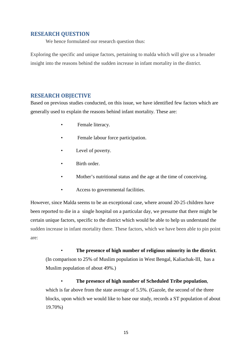# <span id="page-14-0"></span>**RESEARCH QUESTION**

We hence formulated our research question thus:

Exploring the specific and unique factors, pertaining to malda which will give us a broader insight into the reasons behind the sudden increase in infant mortality in the district.

# <span id="page-14-1"></span>**RESEARCH OBJECTIVE**

Based on previous studies conducted, on this issue, we have identified few factors which are generally used to explain the reasons behind infant mortality. These are:

- Female literacy.
- Female labour force participation.
- Level of poverty.
- Birth order.
- Mother's nutritional status and the age at the time of conceiving.
- Access to governmental facilities.

However, since Malda seems to be an exceptional case, where around 20-25 children have been reported to die in a single hospital on a particular day, we presume that there might be certain unique factors, specific to the district which would be able to help us understand the sudden increase in infant mortality there. These factors, which we have been able to pin point are:

• **The presence of high number of religious minority in the district**. (In comparison to 25% of Muslim population in West Bengal, Kaliachak-III, has a Muslim population of about 49%.)

• **The presence of high number of Scheduled Tribe population**, which is far above from the state average of 5.5%. (Gazole, the second of the three blocks, upon which we would like to base our study, records a ST population of about 19.70%)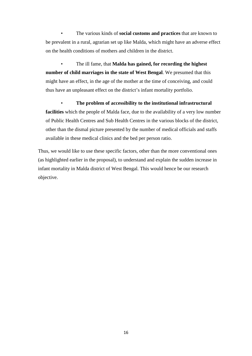• The various kinds of **social customs and practices** that are known to be prevalent in a rural, agrarian set up like Malda, which might have an adverse effect on the health conditions of mothers and children in the district.

• The ill fame, that **Malda has gained, for recording the highest number of child marriages in the state of West Bengal**. We presumed that this might have an effect, in the age of the mother at the time of conceiving, and could thus have an unpleasant effect on the district's infant mortality portfolio.

• **The problem of accessibility to the institutional infrastructural facilities** which the people of Malda face, due to the availability of a very low number of Public Health Centres and Sub Health Centres in the various blocks of the district, other than the dismal picture presented by the number of medical officials and staffs available in these medical clinics and the bed per person ratio.

Thus, we would like to use these specific factors, other than the more conventional ones (as highlighted earlier in the proposal), to understand and explain the sudden increase in infant mortality in Malda district of West Bengal. This would hence be our research objective.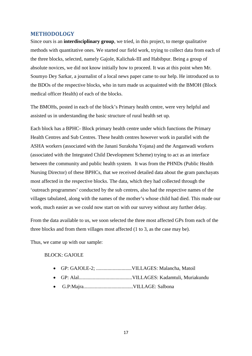#### <span id="page-16-0"></span>**METHODOLOGY**

Since ours is an **interdisciplinary group**, we tried, in this project, to merge qualitative methods with quantitative ones. We started our field work, trying to collect data from each of the three blocks, selected, namely Gajole, Kalichak-III and Habibpur. Being a group of absolute novices, we did not know initially how to proceed. It was at this point when Mr. Soumyo Dey Sarkar, a journalist of a local news paper came to our help. He introduced us to the BDOs of the respective blocks, who in turn made us acquainted with the BMOH (Block medical officer Health) of each of the blocks.

The BMOHs, posted in each of the block's Primary health centre, were very helpful and assisted us in understanding the basic structure of rural health set up.

Each block has a BPHC- Block primary health centre under which functions the Primary Health Centres and Sub Centres. These health centres however work in parallel with the ASHA workers (associated with the Janani Suraksha Yojana) and the Anganwadi workers (associated with the Integrated Child Development Scheme) trying to act as an interface between the community and public health system. It was from the PHNDs (Public Health Nursing Director) of these BPHCs, that we received detailed data about the gram panchayats most affected in the respective blocks. The data, which they had collected through the 'outreach programmes' conducted by the sub centres, also had the respective names of the villages tabulated, along with the names of the mother's whose child had died. This made our work, much easier as we could now start on with our survey without any further delay.

From the data available to us, we soon selected the three most affected GPs from each of the three blocks and from them villages most affected (1 to 3, as the case may be).

Thus, we came up with our sample:

#### BLOCK: GAJOLE

- GP: GAJOLE-2; ............................VILLAGES: Malancha, Matoil
- GP: Alal..........................................VILLAGES: Kadamtuli, Muriakundu
- G.P:Majra.......................................VILLAGE: Salbona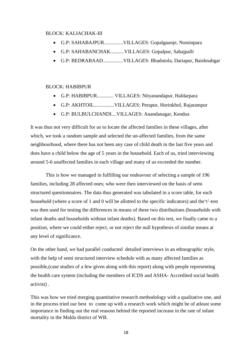#### BLOCK: KALIACHAK-III

- G.P: SAHABAJPUR...............VILLAGES: Gopalgaunje, Nominpara
- G.P: SAHABANCHAK...........VILLAGES: Gopalpur, Sahajpalli
- G.P: BEDRABAAD................VILLAGES: Bhadutola, Dariapur, Baishnabgar

#### BLOCK: HABIBPUR

- G.P: HABIBPUR............. VILLAGES: Nityanandapur, Haldarpara
- G.P: AKHTOIL................VILLAGES: Perapur, Horinkhol, Rajarampur
- G.P: BULBULCHANDI....VILLAGES: Anandanagar, Kendua

It was thus not very difficult for us to locate the affected families in these villages, after which, we took a random sample and selected the un-affected families, from the same neighbourhood, where there has not been any case of child death in the last five years and does have a child below the age of 5 years in the household. Each of us, tried interviewing around 5-6 unaffected families in each village and many of us exceeded the number.

This is how we managed in fulfilling our endeavour of selecting a sample of 196 families, including 28 affected ones; who were then interviewed on the basis of semi structured questionnaires. The data thus generated was tabulated in a score table, for each household (where a score of 1 and 0 will be allotted to the specific indicators) and the't'-test was then used for testing the differences in means of these two distributions (households with infant deaths and households without infant deaths). Based on this test, we finally came to a position, where we could either reject, or not reject the null hypothesis of similar means at any level of significance.

On the other hand, we had parallel conducted detailed interviews in an ethnographic style, with the help of semi structured interview schedule with as many affected families as possible,(case studies of a few given along with this report) along with people representing the health care system (including the members of ICDS and ASHA- Accredited social health activist) .

This was how we tried merging quantitative research methodology with a qualitative one, and in the process tried our best to come up with a research work which might be of atleast some importance in finding out the real reasons behind the reported increase in the rate of infant mortality in the Malda district of WB.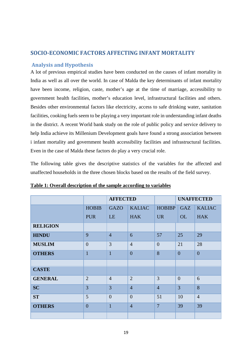# <span id="page-18-0"></span>**SOCIO-ECONOMIC FACTORS AFFECTING INFANT MORTALITY**

# <span id="page-18-1"></span>**Analysis and Hypothesis**

A lot of previous empirical studies have been conducted on the causes of infant mortality in India as well as all over the world. In case of Malda the key determinants of infant mortality have been income, religion, caste, mother's age at the time of marriage, accessibility to government health facilities, mother's education level, infrastructural facilities and others. Besides other environmental factors like electricity, access to safe drinking water, sanitation facilities, cooking fuels seem to be playing a very important role in understanding infant deaths in the district. A recent World bank study on the role of public policy and service delivery to help India achieve its Millenium Development goals have found a strong association between i infant mortality and government health accessibility facilities and infrastructural facilities. Even in the case of Malda these factors do play a very crucial role.

The following table gives the descriptive statistics of the variables for the affected and unaffected households in the three chosen blocks based on the results of the field survey.

|                 |                | <b>AFFECTED</b> |                |                | <b>UNAFFECTED</b> |                |
|-----------------|----------------|-----------------|----------------|----------------|-------------------|----------------|
|                 | <b>HOBIB</b>   | <b>GAZO</b>     | <b>KALIAC</b>  | <b>HOBIBP</b>  | <b>GAZ</b>        | <b>KALIAC</b>  |
|                 | <b>PUR</b>     | LE              | <b>HAK</b>     | <b>UR</b>      | <b>OL</b>         | <b>HAK</b>     |
| <b>RELIGION</b> |                |                 |                |                |                   |                |
| <b>HINDU</b>    | 9              | $\overline{4}$  | 6              | 57             | 25                | 29             |
| <b>MUSLIM</b>   | $\overline{0}$ | 3               | $\overline{4}$ | $\overline{0}$ | 21                | 28             |
| <b>OTHERS</b>   | $\mathbf{1}$   | $\overline{1}$  | $\overline{0}$ | 8              | $\overline{0}$    | $\overline{0}$ |
|                 |                |                 |                |                |                   |                |
| <b>CASTE</b>    |                |                 |                |                |                   |                |
| <b>GENERAL</b>  | $\overline{2}$ | $\overline{4}$  | $\overline{2}$ | 3              | $\overline{0}$    | 6              |
| <b>SC</b>       | 3              | 3               | $\overline{4}$ | $\overline{4}$ | $\overline{3}$    | 8              |
| <b>ST</b>       | 5              | $\theta$        | $\overline{0}$ | 51             | 10                | $\overline{4}$ |
| <b>OTHERS</b>   | $\overline{0}$ | $\mathbf{1}$    | $\overline{4}$ | $\overline{7}$ | 39                | 39             |
|                 |                |                 |                |                |                   |                |

**Table 1: Overall description of the sample according to variables**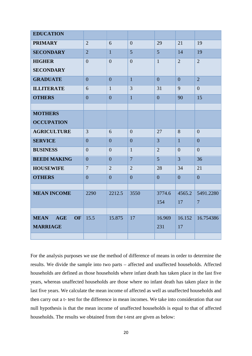| <b>EDUCATION</b>                       |                |                |                |                |                |                |
|----------------------------------------|----------------|----------------|----------------|----------------|----------------|----------------|
| <b>PRIMARY</b>                         | $\overline{2}$ | 6              | $\overline{0}$ | 29             | 21             | 19             |
| <b>SECONDARY</b>                       | $\overline{2}$ | $\overline{1}$ | 5              | $\overline{5}$ | 14             | 19             |
| <b>HIGHER</b>                          | $\overline{0}$ | $\overline{0}$ | $\overline{0}$ | $\mathbf{1}$   | $\overline{2}$ | $\overline{2}$ |
| <b>SECONDARY</b>                       |                |                |                |                |                |                |
| <b>GRADUATE</b>                        | $\overline{0}$ | $\overline{0}$ | $\mathbf{1}$   | $\overline{0}$ | $\overline{0}$ | $\overline{2}$ |
| <b>ILLITERATE</b>                      | 6              | $\mathbf{1}$   | 3              | 31             | 9              | $\overline{0}$ |
| <b>OTHERS</b>                          | $\overline{0}$ | $\overline{0}$ | $\mathbf{1}$   | $\overline{0}$ | 90             | 15             |
|                                        |                |                |                |                |                |                |
| <b>MOTHERS</b>                         |                |                |                |                |                |                |
| <b>OCCUPATION</b>                      |                |                |                |                |                |                |
| <b>AGRICULTURE</b>                     | $\overline{3}$ | 6              | $\overline{0}$ | 27             | 8              | $\overline{0}$ |
| <b>SERVICE</b>                         | $\overline{0}$ | $\overline{0}$ | $\overline{0}$ | $\overline{3}$ | $\mathbf{1}$   | $\overline{0}$ |
| <b>BUSINESS</b>                        | $\overline{0}$ | $\overline{0}$ | $\mathbf{1}$   | $\overline{2}$ | $\overline{0}$ | $\overline{0}$ |
| <b>BEEDI MAKING</b>                    | $\overline{0}$ | $\overline{0}$ | $\overline{7}$ | $\overline{5}$ | $\overline{3}$ | 36             |
| <b>HOUSEWIFE</b>                       | $\overline{7}$ | $\overline{2}$ | $\overline{2}$ | 28             | 34             | 21             |
| <b>OTHERS</b>                          | $\overline{0}$ | $\overline{0}$ | $\overline{0}$ | $\overline{0}$ | $\overline{0}$ | $\overline{0}$ |
|                                        |                |                |                |                |                |                |
| <b>MEAN INCOME</b>                     | 2290           | 2212.5         | 3550           | 3774.6         | 4565.2         | 5491.2280      |
|                                        |                |                |                | 154            | 17             | $\overline{7}$ |
|                                        |                |                |                |                |                |                |
| <b>MEAN</b><br><b>AGE</b><br><b>OF</b> | 15.5           | 15.875         | 17             | 16.969         | 16.152         | 16.754386      |
| <b>MARRIAGE</b>                        |                |                |                | 231            | 17             |                |
|                                        |                |                |                |                |                |                |

For the analysis purposes we use the method of difference of means in order to determine the results. We divide the sample into two parts – affected and unaffected households. Affected households are defined as those households where infant death has taken place in the last five years, whereas unaffected households are those where no infant death has taken place in the last five years. We calculate the mean income of affected as well as unaffected households and then carry out a t- test for the difference in mean incomes. We take into consideration that our null hypothesis is that the mean income of unaffected households is equal to that of affected households. The results we obtained from the t-test are given as below: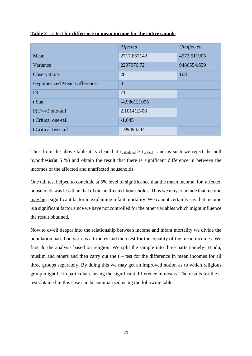|                                     | Affected       | Unaffected  |
|-------------------------------------|----------------|-------------|
| Mean                                | 2717.857143    | 4573.511905 |
| Variance                            | 2297076.72     | 9486554.659 |
| <b>Observations</b>                 | 28             | 168         |
| <b>Hypothesized Mean Difference</b> | $\overline{0}$ |             |
| Df                                  | 71             |             |
| t Stat                              | -4.986121095   |             |
| $P(T \le t)$ one-tail               | 2.10141E-06    |             |
| t Critical one-tail                 | $-1.645$       |             |
| t Critical two-tail                 | 1.993943341    |             |

#### **Table 2 : t-test for difference in mean income for the entire sample**

Thus from the above table it is clear that  $t_{calculated} > t_{critical}$  and as such we reject the null hypothesis(at 5 %) and obtain the result that there is significant difference in between the incomes of the affected and unaffected households.

One tail test helped to conclude at 5% level of significance that the mean income for affected households was less than that of the unaffected households .Thus we may conclude that income may be a significant factor in explaining infant mortality. We cannot certainly say that income is a significant factor since we have not controlled for the other variables which might influence the result obtained.

Now to dwell deeper into the relationship between income and infant mortality we divide the population based on various attributes and then test for the equality of the mean incomes. We first do the analysis based on religion. We split the sample into three parts namely- Hindu, muslim and others and then carry out the  $t - \text{test}$  for the difference in mean incomes for all three groups separately. By doing this we may get an improved notion as to which religious group might be in particular causing the significant difference in means. The results for the ttest obtained in this case can be summarized using the following tables: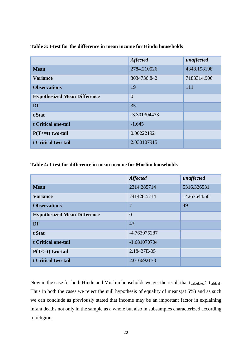|                                     | <b>Affected</b> | unaffected  |
|-------------------------------------|-----------------|-------------|
|                                     |                 |             |
| <b>Mean</b>                         | 2784.210526     | 4348.198198 |
| <b>Variance</b>                     | 3034736.842     | 7183314.906 |
| <b>Observations</b>                 | 19              | 111         |
| <b>Hypothesized Mean Difference</b> | $\overline{0}$  |             |
| Df                                  | 35              |             |
| t Stat                              | -3.301304433    |             |
| t Critical one-tail                 | $-1.645$        |             |
| $P(T \le t)$ two-tail               | 0.00222192      |             |
| t Critical two-tail                 | 2.030107915     |             |

#### **Table 3: t-test for the difference in mean income for Hindu households**

#### **Table 4: t-test for difference in mean income for Muslim households**

|                                     | <b>Affected</b> | unaffected  |
|-------------------------------------|-----------------|-------------|
| <b>Mean</b>                         | 2314.285714     | 5316.326531 |
| <b>Variance</b>                     | 741428.5714     | 14267644.56 |
| <b>Observations</b>                 | $\overline{7}$  | 49          |
| <b>Hypothesized Mean Difference</b> | $\overline{0}$  |             |
| Df                                  | 43              |             |
| t Stat                              | -4.763975287    |             |
| t Critical one-tail                 | $-1.681070704$  |             |
| $P(T=1)$ two-tail                   | 2.18427E-05     |             |
| t Critical two-tail                 | 2.016692173     |             |

Now in the case for both Hindu and Muslim households we get the result that tcalculated> tcritical. Thus in both the cases we reject the null hypothesis of equality of means(at 5%) and as such we can conclude as previously stated that income may be an important factor in explaining infant deaths not only in the sample as a whole but also in subsamples characterized according to religion.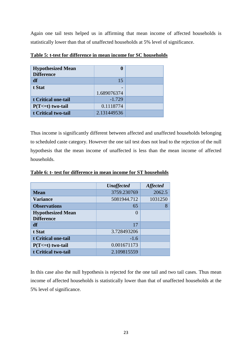Again one tail tests helped us in affirming that mean income of affected households is statistically lower than that of unaffected households at 5% level of significance.

| <b>Hypothesized Mean</b><br><b>Difference</b> | 0           |  |
|-----------------------------------------------|-------------|--|
| df                                            | 15          |  |
| t Stat                                        | 1.689076374 |  |
| t Critical one-tail                           | $-1.729$    |  |
| $P(T \le t)$ two-tail                         | 0.1118774   |  |
| t Critical two-tail                           | 2.131449536 |  |

**Table 5: t-test for difference in mean income for SC households**

Thus income is significantly different between affected and unaffected households belonging to scheduled caste category. However the one tail test does not lead to the rejection of the null hypothesis that the mean income of unaffected is less than the mean income of affected households.

|                          | <b>Unaffected</b> | <b>Affected</b> |
|--------------------------|-------------------|-----------------|
| <b>Mean</b>              | 3759.230769       | 2062.5          |
| <b>Variance</b>          | 5081944.712       | 1031250         |
| <b>Observations</b>      | 65                | 8               |
| <b>Hypothesized Mean</b> | $\Omega$          |                 |
| <b>Difference</b>        |                   |                 |
| df                       | 17                |                 |
| t Stat                   | 3.728493206       |                 |
| t Critical one-tail      | $-1.6$            |                 |
| $P(T \le t)$ two-tail    | 0.001671173       |                 |
| t Critical two-tail      | 2.109815559       |                 |

**Table 6: t- test for difference in mean income for ST households**

In this case also the null hypothesis is rejected for the one tail and two tail cases. Thus mean income of affected households is statistically lower than that of unaffected households at the 5% level of significance.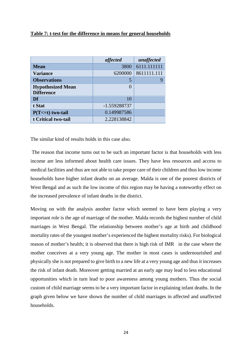#### **Table 7: t-test for the difference in means for general households**

|                                               | affected     | unaffected  |
|-----------------------------------------------|--------------|-------------|
| <b>Mean</b>                                   | 3800         | 6111.111111 |
| <b>Variance</b>                               | 6200000      | 8611111.111 |
| <b>Observations</b>                           |              | g           |
| <b>Hypothesized Mean</b><br><b>Difference</b> | $\left($     |             |
|                                               |              |             |
| Df                                            | 10           |             |
| t Stat                                        | -1.559288737 |             |
| $P(T \le t)$ two-tail                         | 0.149987586  |             |
| t Critical two-tail                           | 2.228138842  |             |

The similar kind of results holds in this case also.

The reason that income turns out to be such an important factor is that households with less income are less informed about health care issues. They have less resources and access to medical facilities and thus are not able to take proper care of their children and thus low income households have higher infant deaths on an average. Malda is one of the poorest districts of West Bengal and as such the low income of this region may be having a noteworthy effect on the increased prevalence of infant deaths in the district.

Moving on with the analysis another factor which seemed to have been playing a very important role is the age of marriage of the mother. Malda records the highest number of child marriages in West Bengal. The relationship between mother's age at birth and childhood mortality rates of the youngest mother's experienced the highest mortality risks). For biological reason of mother's health; it is observed that there is high risk of IMR in the case where the mother conceives at a very young age. The mother in most cases is undernourished and physically she is not prepared to give birth to a new life at a very young age and thus it increases the risk of infant death. Moreover getting married at an early age may lead to less educational opportunities which in turn lead to poor awareness among young mothers. Thus the social custom of child marriage seems to be a very important factor in explaining infant deaths. In the graph given below we have shown the number of child marriages in affected and unaffected households.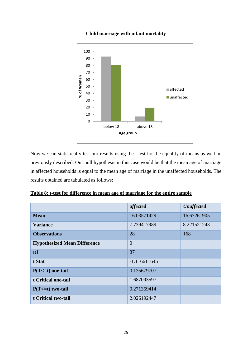## **Child marriage with infant mortality**



Now we can statistically test our results using the t-test for the equality of means as we had previously described. Our null hypothesis in this case would be that the mean age of marriage in affected households is equal to the mean age of marriage in the unaffected households. The results obtained are tabulated as follows:

|  |  |  | Table 8: t-test for difference in mean age of marriage for the entire sample |  |  |
|--|--|--|------------------------------------------------------------------------------|--|--|
|  |  |  |                                                                              |  |  |

|                                     | affected       | <b>Unaffected</b> |
|-------------------------------------|----------------|-------------------|
| <b>Mean</b>                         | 16.03571429    | 16.67261905       |
| <b>Variance</b>                     | 7.739417989    | 8.221521243       |
| <b>Observations</b>                 | 28             | 168               |
| <b>Hypothesized Mean Difference</b> | $\overline{0}$ |                   |
| Df                                  | 37             |                   |
| t Stat                              | $-1.116611645$ |                   |
| $P(T \le t)$ one-tail               | 0.135679707    |                   |
| t Critical one-tail                 | 1.687093597    |                   |
| $P(T \le t)$ two-tail               | 0.271359414    |                   |
| t Critical two-tail                 | 2.026192447    |                   |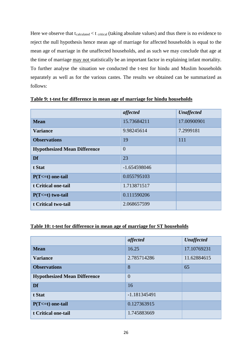Here we observe that  $t_{calculated} < t_{critical}$  (taking absolute values) and thus there is no evidence to reject the null hypothesis hence mean age of marriage for affected households is equal to the mean age of marriage in the unaffected households, and as such we may conclude that age at the time of marriage may not statistically be an important factor in explaining infant mortality. To further analyse the situation we conducted the t-test for hindu and Muslim households separately as well as for the various castes. The results we obtained can be summarized as follows:

|                                     | affected       | <b>Unaffected</b> |
|-------------------------------------|----------------|-------------------|
| <b>Mean</b>                         | 15.73684211    | 17.00900901       |
| <b>Variance</b>                     | 9.98245614     | 7.2999181         |
| <b>Observations</b>                 | 19             | 111               |
| <b>Hypothesized Mean Difference</b> | $\overline{0}$ |                   |
| Df                                  | 23             |                   |
| t Stat                              | $-1.654598046$ |                   |
| $P(T \le t)$ one-tail               | 0.055795103    |                   |
| t Critical one-tail                 | 1.713871517    |                   |
| $P(T \le t)$ two-tail               | 0.111590206    |                   |
| t Critical two-tail                 | 2.068657599    |                   |

#### **Table 9: t-test for difference in mean age of marriage for hindu households**

#### **Table 10: t-test for difference in mean age of marriage for ST households**

|                                     | affected       | <b>Unaffected</b> |
|-------------------------------------|----------------|-------------------|
| <b>Mean</b>                         | 16.25          | 17.10769231       |
| <b>Variance</b>                     | 2.785714286    | 11.62884615       |
| <b>Observations</b>                 | 8              | 65                |
| <b>Hypothesized Mean Difference</b> | $\overline{0}$ |                   |
| Df                                  | 16             |                   |
| t Stat                              | $-1.181345491$ |                   |
| $P(T \le t)$ one-tail               | 0.127363915    |                   |
| t Critical one-tail                 | 1.745883669    |                   |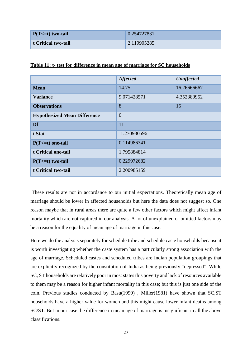| $P(T \le t)$ two-tail | 0.254727831 |  |
|-----------------------|-------------|--|
| t Critical two-tail   | 2.119905285 |  |

|                                     | <b>Affected</b> | <b>Unaffected</b> |
|-------------------------------------|-----------------|-------------------|
| <b>Mean</b>                         | 14.75           | 16.26666667       |
| <b>Variance</b>                     | 9.071428571     | 4.352380952       |
| <b>Observations</b>                 | 8               | 15                |
| <b>Hypothesized Mean Difference</b> | $\overline{0}$  |                   |
| Df                                  | 11              |                   |
| t Stat                              | -1.270930596    |                   |
| $P(T \le t)$ one-tail               | 0.114986341     |                   |
| t Critical one-tail                 | 1.795884814     |                   |
| $P(T \le t)$ two-tail               | 0.229972682     |                   |
| t Critical two-tail                 | 2.200985159     |                   |

**Table 11: t- test for difference in mean age of marriage for SC households**

These results are not in accordance to our initial expectations. Theoretically mean age of marriage should be lower in affected households but here the data does not suggest so. One reason maybe that in rural areas there are quite a few other factors which might affect infant mortality which are not captured in our analysis. A lot of unexplained or omitted factors may be a reason for the equality of mean age of marriage in this case.

Here we do the analysis separately for schedule tribe and schedule caste households because it is worth investigating whether the caste system has a particularly strong association with the age of marriage. Scheduled castes and scheduled tribes are Indian population groupings that are explicitly recognized by the constitution of India as being previously "depressed". While SC, ST households are relatively poor in most states this poverty and lack of resources available to them may be a reason for higher infant mortality in this case; but this is just one side of the coin. Previous studies conducted by Basu(1990) , Miller(1981) have shown that SC,ST households have a higher value for women and this might cause lower infant deaths among SC/ST. But in our case the difference in mean age of marriage is insignificant in all the above classifications.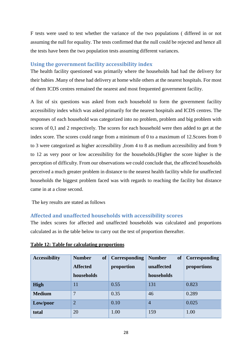F tests were used to test whether the variance of the two populations ( differed in or not assuming the null for equality. The tests confirmed that the null could be rejected and hence all the tests have been the two population tests assuming different variances.

#### <span id="page-27-0"></span>**Using the government facility accessibility index**

The health facility questioned was primarily where the households had had the delivery for their babies .Many of these had delivery at home while others at the nearest hospitals. For most of them ICDS centres remained the nearest and most frequented government facility.

A list of six questions was asked from each household to form the government facility accessibility index which was asked primarily for the nearest hospitals and ICDS centres. The responses of each household was categorized into no problem, problem and big problem with scores of 0,1 and 2 respectively. The scores for each household were then added to get at the index score. The scores could range from a minimum of 0 to a maximum of 12.Scores from 0 to 3 were categorized as higher accessibility ,from 4 to 8 as medium accessibility and from 9 to 12 as very poor or low accessibility for the households.(Higher the score higher is the perception of difficulty. From our observations we could conclude that, the affected households perceived a much greater problem in distance to the nearest health facility while for unaffected households the biggest problem faced was with regards to reaching the facility but distance came in at a close second.

The key results are stated as follows

#### <span id="page-27-1"></span>**Affected and unaffected households with accessibility scores**

The index scores for affected and unaffected households was calculated and proportions calculated as in the table below to carry out the test of proportion thereafter.

| <b>Accessibility</b> | <b>Number</b><br><b>of</b> | <b>Corresponding</b> | <b>of</b><br><b>Number</b> | Corresponding |
|----------------------|----------------------------|----------------------|----------------------------|---------------|
|                      | <b>Affected</b>            | proportion           | unaffected                 | proportions   |
|                      | households                 |                      | households                 |               |
| <b>High</b>          | 11                         | 0.55                 | 131                        | 0.823         |
| <b>Medium</b>        | 7                          | 0.35                 | 46                         | 0.289         |
| Low/poor             | $\overline{2}$             | 0.10                 | $\overline{4}$             | 0.025         |
| total                | 20                         | 1.00                 | 159                        | 1.00          |

**Table 12: Table for calculating proportions**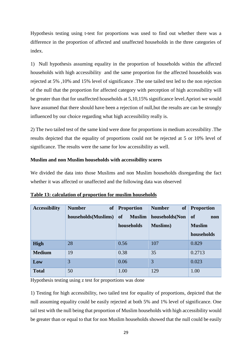Hypothesis testing using t-test for proportions was used to find out whether there was a difference in the proportion of affected and unaffected households in the three categories of index.

1) Null hypothesis assuming equality in the proportion of households within the affected households with high accessibility and the same proportion for the affected households was rejected at 5% ,10% and 15% level of significance .The one tailed test led to the non rejection of the null that the proportion for affected category with perception of high accessibility will be greater than that for unaffected households at 5,10,15% significance level.Apriori we would have assumed that there should have been a rejection of null,but the results are can be strongly influenced by our choice regarding what high accessibility really is.

2) The two tailed test of the same kind were done for proportions in medium accessibility .The results depicted that the equality of proportions could not be rejected at 5 or 10% level of significance. The results were the same for low accessibility as well.

#### **Muslim and non Muslim households with accessibility scores**

We divided the data into those Muslims and non Muslim households disregarding the fact whether it was affected or unaffected and the following data was observed

| <b>Accessibility</b> | <b>of</b><br><b>Number</b><br>households(Muslims) | <b>Proportion</b><br><b>of</b><br><b>Muslim</b><br>households | <b>Number</b><br><b>of</b><br>households(Non<br><b>Muslims</b> ) | <b>Proportion</b><br><b>of</b><br>non<br><b>Muslim</b><br>households |
|----------------------|---------------------------------------------------|---------------------------------------------------------------|------------------------------------------------------------------|----------------------------------------------------------------------|
| <b>High</b>          | 28                                                | 0.56                                                          | 107                                                              | 0.829                                                                |
| <b>Medium</b>        | 19                                                | 0.38                                                          | 35                                                               | 0.2713                                                               |
| Low                  | 3                                                 | 0.06                                                          | 3                                                                | 0.023                                                                |
| <b>Total</b>         | 50                                                | 1.00                                                          | 129                                                              | 1.00                                                                 |

| Table 13: calculation of proportion for muslim households |  |
|-----------------------------------------------------------|--|
|                                                           |  |

Hypothesis testing using z test for proportions was done

1) Testing for high accessibility, two tailed test for equality of proportions, depicted that the null assuming equality could be easily rejected at both 5% and 1% level of significance. One tail test with the null being that proportion of Muslim households with high accessibility would be greater than or equal to that for non Muslim households showed that the null could be easily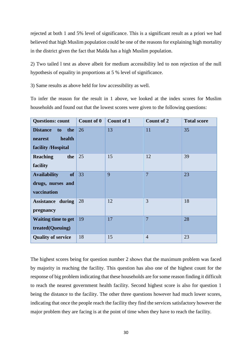rejected at both 1 and 5% level of significance. This is a significant result as a priori we had believed that high Muslim population could be one of the reasons for explaining high mortality in the district given the fact that Malda has a high Muslim population.

2) Two tailed l test as above albeit for medium accessibility led to non rejection of the null hypothesis of equality in proportions at 5 % level of significance.

3) Same results as above held for low accessibility as well.

To infer the reason for the result in 1 above, we looked at the index scores for Muslim households and found out that the lowest scores were given to the following questions:

| <b>Questions: count</b>                                                    | <b>Count of 0</b> | <b>Count of 1</b> | Count of 2     | <b>Total score</b> |
|----------------------------------------------------------------------------|-------------------|-------------------|----------------|--------------------|
| <b>Distance</b><br>the<br>to<br>health<br>nearest<br>facility /Hospital    | 26                | 13                | 11             | 35                 |
| <b>Reaching</b><br>the<br>facility                                         | 25                | 15                | 12             | 39                 |
| of <sub>1</sub><br><b>Availability</b><br>drugs, nurses and<br>vaccination | 33                | 9                 | $\overline{7}$ | 23                 |
| <b>Assistance during</b><br>pregnancy                                      | 28                | 12                | 3              | 18                 |
| <b>Waiting time to get</b><br>treated(Queuing)                             | 19                | 17                | $\overline{7}$ | 28                 |
| <b>Quality of service</b>                                                  | 18                | 15                | $\overline{4}$ | 23                 |

The highest scores being for question number 2 shows that the maximum problem was faced by majority in reaching the facility. This question has also one of the highest count for the response of big problem indicating that these households are for some reason finding it difficult to reach the nearest government health facility. Second highest score is also for question 1 being the distance to the facility. The other three questions however had much lower scores, indicating that once the people reach the facility they find the services satisfactory however the major problem they are facing is at the point of time when they have to reach the facility.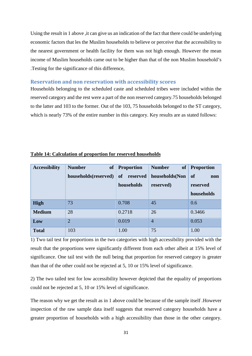Using the result in 1 above ,it can give us an indication of the fact that there could be underlying economic factors that les the Muslim households to believe or perceive that the accessibility to the nearest government or health facility for them was not high enough. However the mean income of Muslim households came out to be higher than that of the non Muslim household's .Testing for the significance of this difference,

#### <span id="page-30-0"></span>**Reservation and non reservation with accessibility scores**

Households belonging to the scheduled caste and scheduled tribes were included within the reserved category and the rest were a part of the non reserved category.75 households belonged to the latter and 103 to the former. Out of the 103, 75 households belonged to the ST category, which is nearly 73% of the entire number in this category. Key results are as stated follows:

| <b>Accessibility</b> | <b>of</b><br><b>Number</b> | <b>Proportion</b> | <b>Number</b><br><b>of</b> | <b>Proportion</b> |
|----------------------|----------------------------|-------------------|----------------------------|-------------------|
|                      | households(reserved)       | of reserved       | households(Non             | of<br>non         |
|                      |                            | households        | reserved)                  | reserved          |
|                      |                            |                   |                            | households        |
| <b>High</b>          | 73                         | 0.708             | 45                         | 0.6               |
| <b>Medium</b>        | 28                         | 0.2718            | 26                         | 0.3466            |
| Low                  | $\overline{2}$             | 0.019             | $\overline{4}$             | 0.053             |
| <b>Total</b>         | 103                        | 1.00              | 75                         | 1.00              |

#### **Table 14: Calculation of proportion for reserved households**

1) Two tail test for proportions in the two categories with high accessibility provided with the result that the proportions were significantly different from each other albeit at 15% level of significance. One tail test with the null being that proportion for reserved category is greater than that of the other could not be rejected at 5, 10 or 15% level of significance.

2) The two tailed test for low accessibility however depicted that the equality of proportions could not be rejected at 5, 10 or 15% level of significance.

The reason why we get the result as in 1 above could be because of the sample itself .However inspection of the raw sample data itself suggests that reserved category households have a greater proportion of households with a high accessibility than those in the other category.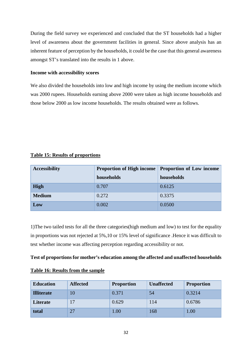During the field survey we experienced and concluded that the ST households had a higher level of awareness about the government facilities in general. Since above analysis has an inherent feature of perception by the households, it could be the case that this general awareness amongst ST's translated into the results in 1 above.

#### **Income with accessibility scores**

We also divided the households into low and high income by using the medium income which was 2000 rupees. Households earning above 2000 were taken as high income households and those below 2000 as low income households. The results obtained were as follows.

|  | <b>Table 15: Results of proportions</b> |
|--|-----------------------------------------|
|  |                                         |

| <b>Accessibility</b> | <b>Proportion of High income</b> | <b>Proportion of Low income</b> |
|----------------------|----------------------------------|---------------------------------|
|                      | households                       | households                      |
| <b>High</b>          | 0.707                            | 0.6125                          |
| <b>Medium</b>        | 0.272                            | 0.3375                          |
| Low                  | 0.002                            | 0.0500                          |

1)The two tailed tests for all the three categories(high medium and low) to test for the equality in proportions was not rejected at 5%,10 or 15% level of significance .Hence it was difficult to test whether income was affecting perception regarding accessibility or not.

#### **Test of proportions for mother's education among the affected and unaffected households**

| <b>Education</b>  | <b>Affected</b> | <b>Proportion</b> | <b>Unaffected</b> | <b>Proportion</b> |
|-------------------|-----------------|-------------------|-------------------|-------------------|
| <b>Illiterate</b> | 10              | 0.371             | 54                | 0.3214            |
| Literate          | 17              | 0.629             | 114               | 0.6786            |
| total             | 27              | 0.00              | 168               | 1.00              |

#### **Table 16: Results from the sample**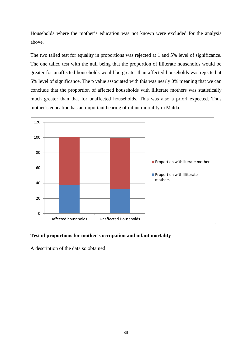Households where the mother's education was not known were excluded for the analysis above.

The two tailed test for equality in proportions was rejected at 1 and 5% level of significance. The one tailed test with the null being that the proportion of illiterate households would be greater for unaffected households would be greater than affected households was rejected at 5% level of significance. The p value associated with this was nearly 0% meaning that we can conclude that the proportion of affected households with illiterate mothers was statistically much greater than that for unaffected households. This was also a priori expected. Thus mother's education has an important bearing of infant mortality in Malda.



#### **Test of proportions for mother's occupation and infant mortality**

A description of the data so obtained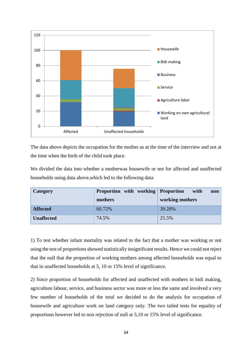

The data above depicts the occupation for the mother as at the time of the interview and not at the time when the birth of the child took place.

We divided the data into whether a motherwas housewife or not for affected and unaffected households using data above,which led to the following data

| Category          | <b>Proportion</b> with working <b>Proportion</b> | with<br>non     |
|-------------------|--------------------------------------------------|-----------------|
|                   | mothers                                          | working mothers |
| <b>Affected</b>   | 60.72%                                           | 39.28%          |
| <b>Unaffected</b> | 74.5%                                            | 25.5%           |

1) To test whether infant mortality was related to the fact that a mother was working or not using the test of proportions showed statistically insignificant results. Hence we could not reject that the null that the proportion of working mothers among affected households was equal to that in unaffected households at 5, 10 or 15% level of significance.

2) Since proportion of households for affected and unaffected with mothers in bidi making, agriculture labour, service, and business sector was more or less the same and involved a very few number of households of the total we decided to do the analysis for occupation of housewife and agriculture work on land category only. The two tailed tests for equality of proportions however led to non rejection of null at 5,10 or 15% level of significance.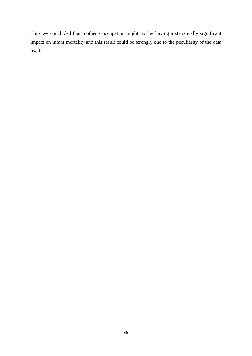Thus we concluded that mother's occupation might not be having a statistically significant impact on infant mortality and this result could be strongly due to the peculiarity of the data itself.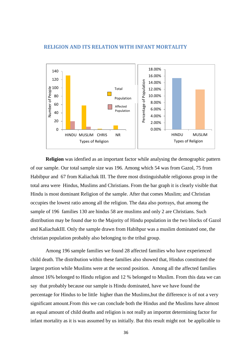

#### <span id="page-35-0"></span> **RELIGION AND ITS RELATION WITH INFANT MORTALITY**

**Religion** was idenfied as an important factor while analysing the demographic pattern of our sample. Our total sample size was 196. Among which 54 was from Gazol, 75 from Habibpur and 67 from Kaliachak III. The three most distinguishable religioous group in the total area were Hindus, Muslims and Christians. From the bar graph it is clearly visible that Hindu is most dominant Religion of the sample. After that comes Muslim; and Christian occupies the lowest ratio among all the religion. The data also portrays, that amomg the sample of 196 families 130 are hindus 58 are muslims and only 2 are Christians. Such distribution may be found due to the Majority of Hindu population in the two blocks of Gazol and KaliachakIII. Only the sample drawn from Habibpur was a muslim dominated one, the christian population probably also belonging to the tribal group.

Among 196 sample families we found 28 affected families who have experienced child death. The distribution within these families also showed that, Hindus constituted the largest portion while Muslims were at the second position. Among all the affected families almost 16% belonged to Hindu religion and 12 % belonged to Muslim. From this data we can say that probably because our sample is Hindu dominated, have we have found the percentage for Hindus to be little higher than the Muslims,but the difference is of not a very significant amount.From this we can conclude both the Hindus and the Muslims have almost an equal amount of child deaths and religion is not really an importnt determining factor for infant mortality as it is was assumed by us initially. But this result might not be applicable to

36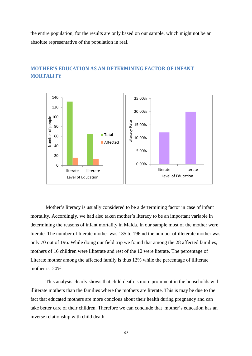the entire population, for the results are only based on our sample, which might not be an absolute representative of the population in real.



# <span id="page-36-0"></span>**MOTHER'S EDUCATION AS AN DETERMINING FACTOR OF INFANT MORTALITY**

Mother's literacy is usually considered to be a dertermining factor in case of infant mortality. Accordingly, we had also taken mother's literacy to be an important variable in determining the reasons of infant mortality in Malda. In our sample most of the mother were literate. The number of literate mother was 135 to 196 nd the number of illeterate mother was only 70 out of 196. While doing our field trip we found that among the 28 affected families, mothers of 16 children were illiterate and rest of the 12 were literate. The percentage of Literate mother among the affected family is thus 12% while the percentage of illiterate mother ist 20%.

This analysis clearly shows that child death is more prominent in the households with illiterate mothers than the families where the mothers are literate. This is may be due to the fact that educated mothers are more concious about their health during pregnancy and can take better care of their children. Therefore we can conclude that mother's education has an inverse relationship with child death.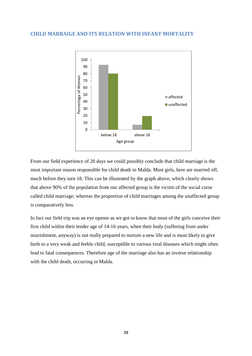#### <span id="page-37-0"></span>**CHILD MARRAIGE AND ITS RELATION WITH INFANT MORTALITY**



From our field experience of 20 days we could possibly conclude that child marriage is the most important reason responsible for child death in Malda. Most girls, here are married off, much before they turn 18. This can be illustrated by the graph above, which clearly shows that above 90% of the population from our affected group is the victim of the social curse called child marriage; whereas the proportion of child marriages among the unaffected group is comparatively less.

In fact our field trip was an eye opener as we got to know that most of the girls conceive their first child within their tender age of 14-16 years, when their body (suffering from under nourishment, anyway) is not really prepared to nurture a new life and is most likely to give birth to a very weak and feeble child, susceptible to various viral diseases which might often lead to fatal consequences. Therefore age of the marriage also has an inverse relationship with the child death, occurring in Malda.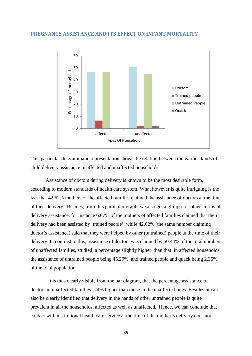#### <span id="page-38-0"></span>**PREGNANCY ASSISTANCE AND ITS EFFECT ON INFANT MORTALITY**



This particular diagrammatic representation shows the relation between the various kinds of child delivery assistance in affected and unaffected households.

Assistance of doctors during delivery is known to be the most desirable form, according to modern standards of health care system. What however is quite intriguing is the fact that 42.62% mothers of the affected families claimed the assistance of doctors at the time of their delivery. Besides, from this particular graph, we also get a glimpse of other forms of delivery assistance, for instance 6.67% of the mothers of affected families claimed that their delivery had been assisted by 'trained people', while 42.62% (the same number claiming doctor's assistance) said that they were helped by other (untrained) people at the time of their delivery. In contrast to this, assistance of doctors was claimed by 50.44% of the total numbers of unaffected families, studied; a percentage slightly higher than that in affected households, the assistance of untrained people being 45.29% and trained people and quack being 2.35% of the total population.

 It is thus clearly visible from the bar diagram, that the percentage assistance of doctors in unaffected families is 4% higher than those in the unaffected ones. Besides, it can also be clearly identified that delivery in the hands of other untrained people is quite prevalent in all the households, affected as well as unaffected. Hence, we can conclude that contact with institutional health care service at the time of the mother's delivery does not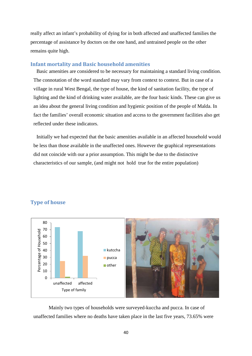really affect an infant's probability of dying for in both affected and unaffected families the percentage of assistance by doctors on the one hand, and untrained people on the other remains quite high.

#### <span id="page-39-0"></span>**Infant mortality and Basic household amenities**

Basic amenities are considered to be necessary for maintaining a standard living condition. The connotation of the word standard may vary from context to context. But in case of a village in rural West Bengal, the type of house, the kind of sanitation facility, the type of lighting and the kind of drinking water available, are the four basic kinds. These can give us an idea about the general living condition and hygienic position of the people of Malda. In fact the families' overall economic situation and access to the government facilities also get reflected under these indicators.

Initially we had expected that the basic amenities available in an affected household would be less than those available in the unaffected ones. However the graphical representations did not coincide with our a prior assumption. This might be due to the distinctive characteristics of our sample, (and might not hold true for the entire population)



# <span id="page-39-1"></span>**Type of house**

Mainly two types of households were surveyed-kuccha and pucca. In case of unaffected families where no deaths have taken place in the last five years, 73.65% were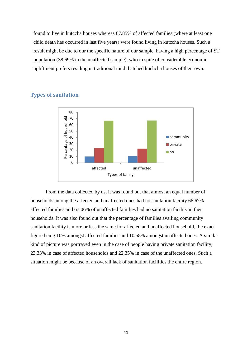found to live in kutccha houses whereas 67.85% of affected families (where at least one child death has occurred in last five years) were found living in kutccha houses. Such a result might be due to our the specific nature of our sample, having a high percentage of ST population (38.69% in the unaffected sample), who in spite of considerable economic upliftment prefers residing in traditional mud thatched kuchcha houses of their own..



# <span id="page-40-0"></span>**Types of sanitation**

From the data collected by us, it was found out that almost an equal number of households among the affected and unaffected ones had no sanitation facility.66.67% affected families and 67.06% of unaffected families had no sanitation facility in their households. It was also found out that the percentage of families availing community sanitation facility is more or less the same for affected and unaffected household, the exact figure being 10% amongst affected families and 10.58% amongst unaffected ones. A similar kind of picture was portrayed even in the case of people having private sanitation facility; 23.33% in case of affected households and 22.35% in case of the unaffected ones. Such a situation might be because of an overall lack of sanitation facilities the entire region.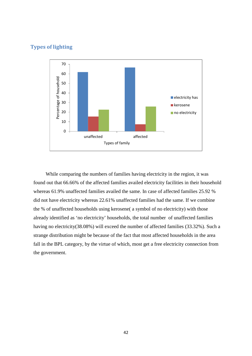#### <span id="page-41-0"></span>**Types of lighting**



While comparing the numbers of families having electricity in the region, it was found out that 66.66% of the affected families availed electricity facilities in their household whereas 61.9% unaffected families availed the same. In case of affected families 25.92 % did not have electricity whereas 22.61% unaffected families had the same. If we combine the % of unaffected households using kerosene( a symbol of no electricity) with those already identified as 'no electricity' households, the total number of unaffected families having no electricity(38.08%) will exceed the number of affected families (33.32%). Such a strange distribution might be because of the fact that most affected households in the area fall in the BPL category, by the virtue of which, most get a free electricity connection from the government.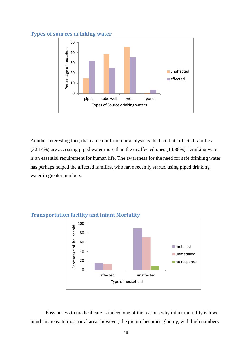# <span id="page-42-0"></span>**Types of sources drinking water**



Another interesting fact, that came out from our analysis is the fact that, affected families (32.14%) are accessing piped water more than the unaffected ones (14.88%). Drinking water is an essential requirement for human life. The awareness for the need for safe drinking water has perhaps helped the affected families, who have recently started using piped drinking water in greater numbers.



#### <span id="page-42-1"></span>**Transportation facility and infant Mortality**

Easy access to medical care is indeed one of the reasons why infant mortality is lower in urban areas. In most rural areas however, the picture becomes gloomy, with high numbers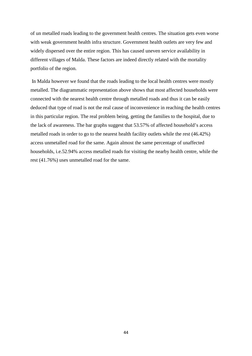of un metalled roads leading to the government health centres. The situation gets even worse with weak government health infra structure. Government health outlets are very few and widely dispersed over the entire region. This has caused uneven service availability in different villages of Malda. These factors are indeed directly related with the mortality portfolio of the region.

In Malda however we found that the roads leading to the local health centres were mostly metalled. The diagrammatic representation above shows that most affected households were connected with the nearest health centre through metalled roads and thus it can be easily deduced that type of road is not the real cause of inconvenience in reaching the health centres in this particular region. The real problem being, getting the families to the hospital, due to the lack of awareness. The bar graphs suggest that 53.57% of affected household's access metalled roads in order to go to the nearest health facility outlets while the rest (46.42%) access unmetalled road for the same. Again almost the same percentage of unaffected households, i.e.52.94% access metalled roads for visiting the nearby health centre, while the rest (41.76%) uses unmetalled road for the same.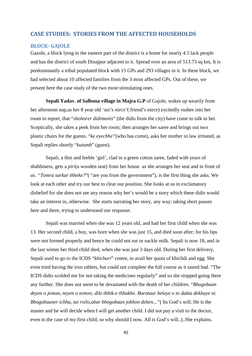#### <span id="page-44-0"></span>**CASE STUDIES: STORIES FROM THE AFFECTED HOUSEHOLDS**

#### <span id="page-44-1"></span>**BLOCK- GAJOLE**

Gazole, a block lying in the eastern part of the district is a home for nearly 4.5 lack people and has the district of south Dinajpur adjacent to it. Spread over an area of 513.73 sq km, It is predominantly a tribal populated block with 15 GPs and 293 villages in it. In these block, we had selected about 10 affected families from the 3 most affected GPs. Out of these, we present here the case study of the two most stimulating ones.

**Sepali Yadav**, **of Salbona village in Majra G.P** of Gajole, wakes up wearily from her afternoon nap,as her 8 year old *'soi's niece'*( friend's niece) excitedly rushes into her room to report, that "*shohorer didimonis*" (the didis from the city) have come to talk to her. Sceptically, she takes a peek from her room; then arranges her saree and brings out two plastic chairs for the guests. "*ke eyechhe"*(who has come), asks her mother in law irritated, as Sepali replies shortly "*kutumb*" (guest).

Sepali, a thin and feeble 'girl', clad in a green cotton saree, faded with years of shabbiness, gets a *piri*(a wooden seat) from her house as she arranges her seat and in front of us. *"Tomra sarkar thheke?*"( "are you from the government"), is the first thing she asks. We look at each other and try our best to clear our position. She looks at us in exclamatory disbelief for she does not see any reason why her's would be a story which these didis would take an interest in, otherwise. She starts narrating her story, any way; taking short pauses here and there, trying to understand our response.

Sepali was married when she was 12 years old, and had her first child when she was 13. Her second child, a boy, was born when she was just 15, and died soon after; for his lips were not formed properly and hence he could not eat or suckle milk. Sepali is now 18, and in the last winter her third child died, when she was just 3 days old. During her first delivery, Sepali used to go to the ICDS "*khichuri*" centre, to avail her quota of khichdi and egg. She even tried having the iron tablets, but could not complete the full course as it tasted bad. "The ICDS didis scolded me for not taking the medicines regularly" and so she stopped going there any further. She does not seem to be devastated with the death of her children. "*Bhogobaan deyen o jemon, neyen o temon; dile thhik-e thhakbe. Borotaar belaye o to dakta dekhaye ni. Bhogobaaner ichha, tai roilo,abar bhogobaan jokhon deben..."*( Its God's will. He is the master and he will decide when I will get another child. I did not pay a visit to the doctor, even in the case of my first child, so why should I now. All is God's will..)..She explains.

45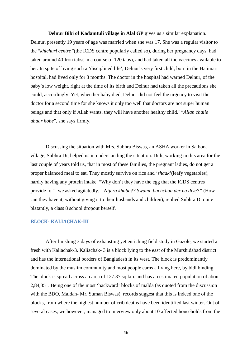**Delnur Bibi of Kadamtuli village in Alal GP** gives us a similar explanation. Delnur, presently 19 years of age was married when she was 17. She was a regular visitor to the "*khichuri centre"*(the ICDS centre popularly called so), during her pregnancy days, had taken around 40 Iron tabs( in a course of 120 tabs), and had taken all the vaccines available to her. In spite of living such a 'disciplined life', Delnur's very first child, born in the Hatimari hospital, had lived only for 3 months. The doctor in the hospital had warned Delnur, of the baby's low weight, right at the time of its birth and Delnur had taken all the precautions she could, accordingly. Yet, when her baby died, Delnur did not feel the urgency to visit the doctor for a second time for she knows it only too well that doctors are not super human beings and that only if Allah wants, they will have another healthy child.' "*Allah chaile abaar hobe*", she says firmly.

Discussing the situation with Mrs. Subhra Biswas, an ASHA worker in Salbona village, Subhra Di, helped us in understanding the situation. Didi, working in this area for the last couple of years told us, that in most of these families, the pregnant ladies, do not get a proper balanced meal to eat. They mostly survive on rice and '*shaak'*(leafy vegetables), hardly having any protein intake. "Why don't they have the egg that the ICDS centres provide for", we asked agitatedly. " *Nijera khabe?? Swami, bachchaa der na diye?"* (How can they have it, without giving it to their husbands and children), replied Subhra Di quite blatantly, a class 8 school dropout herself.

#### <span id="page-45-0"></span>**BLOCK- KALIACHAK-III**

After finishing 3 days of exhausting yet enriching field study in Gazole, we started a fresh with Kaliachak-3. Kaliachak- 3 is a block lying to the east of the Murshidabad district and has the international borders of Bangladesh in its west. The block is predominantly dominated by the muslim community and most people earns a living here, by bidi binding. The block is spread across an area of 127.37 sq km. and has an estimated population of about 2,84,351. Being one of the most 'backward' blocks of malda (as quoted from the discussion with the BDO, Maldah- Mr. Suman Biswas), records suggest that this is indeed one of the blocks, from where the highest number of crib deaths have been identified last winter. Out of several cases, we however, managed to interview only about 10 affected households from the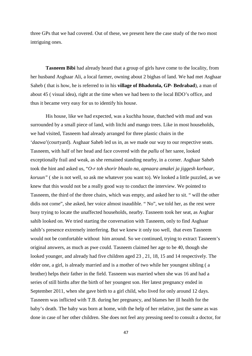three GPs that we had covered. Out of these, we present here the case study of the two most intriguing ones.

**Tasneem Bibi** had already heard that a group of girls have come to the locality, from her husband Asghaar Ali, a local farmer, owning about 2 bighas of land. We had met Asghaar Saheb ( that is how, he is referred to in his **village of Bhadutola, GP- Bedrabad**), a man of about 45 ( visual idea), right at the time when we had been to the local BDO's office, and thus it became very easy for us to identify his house.

His house, like we had expected, was a kuchha house, thatched with mud and was surrounded by a small piece of land, with litchi and mango trees. Like in most households, we had visited, Tasneem had already arranged for three plastic chairs in the '*daawa*'(courtyard). Asghaar Saheb led us in, as we made our way to our respective seats. Tasneem, with half of her head and face covered with the *pallu* of her saree, looked exceptionally frail and weak, as she remained standing nearby, in a corner. Asghaar Saheb took the hint and asked us, "*O-r toh shorir bhaalo na, apnaara amakei ja jiggesh korbaar, koruun"* ( she is not well, so ask me whatever you want to). We looked a little puzzled, as we knew that this would not be a really good way to conduct the interview. We pointed to Tasneem, the third of the three chairs, which was empty, and asked her to sit. " will the other didis not come", she asked, her voice almost inaudible. " No", we told her, as the rest were busy trying to locate the unaffected households, nearby. Tasneem took her seat, as Asghar sahib looked on. We tried starting the conversation with Tasneem, only to find Asghaar sahib's presence extremely interfering. But we knew it only too well, that even Tasneem would not be comfortable without him around. So we continued, trying to extract Tasneem's original answers, as much as pwe could. Tasneem claimed her age to be 40, though she looked younger, and already had five children aged 23 , 21, 18, 15 and 14 respectively. The elder one, a girl, is already married and is a mother of two while her youngest sibling ( a brother) helps their father in the field. Tasneem was married when she was 16 and had a series of still births after the birth of her youngest son. Her latest pregnancy ended in September 2011, when she gave birth to a girl child, who lived for only around 12 days. Tasneem was inflicted with T.B. during her pregnancy, and blames her ill health for the baby's death. The baby was born at home, with the help of her relative, just the same as was done in case of her other children. She does not feel any pressing need to consult a doctor, for

47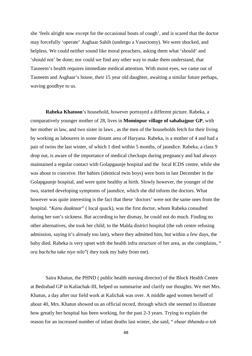she 'feels alright now except for the occasional bouts of cough', and is scared that the doctor may forcefully 'operate' Asghaar Sahib (undergo a Vasectomy). We were shocked, and helpless. We could neither sound like moral preachers, asking them what 'should' and 'should not' be done; nor could we find any other way to make them understand, that Tasneem's health requires immediate medical attention. With moist eyes, we came out of Tasneem and Asghaar's house, their 15 year old daughter, awaiting a similar future perhaps, waving goodbye to us.

**Rabeka Khatoon**'s household, however portrayed a different picture. Rabeka, a comparatively younger mother of 28, lives in **Mominpur village of sahabajpur GP**, with her mother in law, and two sister in laws , as the men of the households fetch for their living by working as labourers in some distant area of Haryana. Rabeka, is a mother of 4 and had a pair of twins the last winter, of which 1 died within 5 months, of jaundice. Rabeka, a class 9 drop out, is aware of the importance of medical checkups during pregnancy and had always maintained a regular contact with Golapgaunje hospital and the local ICDS centre, while she was about to conceive. Her babies (identical twin boys) were born in last December in the Golapgaunje hospital, and were quite healthy at birth. Slowly however, the younger of the two, started developing symptoms of jaundice, which she did inform the doctors. What however was quite interesting is the fact that these 'doctors' were not the same ones from the hospital. "*Kanu daaktaar*" ( local quack), was the first doctor, whom Rabeka consulted during her son's sickness. But according to her dismay, he could not do much. Finding no other alternatives, she took her child, to the Malda district hospital (the sub centre refusing admission, saying it's already too late), where they admitted him, but within a few days, the baby died. Rabeka is very upset with the health infra structure of her area, as she complains, " *ora bachcha take niye nilo*"( they took my baby from me).

Saira Khatun, the PHND ( public health nursing director) of the Block Health Centre at Bedrabad GP in Kaliachak-III, helped us summarise and clarify our thoughts. We met Mrs. Khatun, a day after our field work at Kalichak was over. A middle aged women herself of about 40, Mrs. Khatun showed us an official record, through which she seemed to illustrate how greatly her hospital has been working, for the past 2-3 years. Trying to explain the reason for an increased number of infant deaths last winter, she said, " *ebaar thhanda-o toh*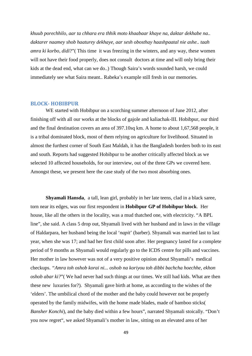*khuub porechhilo, aar ta chhara era thhik moto khaabaar khaye na, daktar dekhabe na.. daktarer naamey shob haaturey dekhaye, aar sesh obosthay haashpaatal nie ashe.. taah amra ki korbo, didi*?"( This time it was freezing in the winters, and any way, these women will not have their food properly, does not consult doctors at time and will only bring their kids at the dead end, what can we do..) Though Saira's words sounded harsh, we could immediately see what Saira meant.. Rabeka's example still fresh in our memories.

#### <span id="page-48-0"></span>**BLOCK- HOBIBPUR**

WE started with Hobibpur on a scorching summer afternoon of June 2012, after finishing off with all our works at the blocks of gajole and kaliachak-III. Hobibpur, our third and the final destination covers an area of 397.10sq km. A home to about 1,67,568 people, it is a tribal dominated block, most of them relying on agriculture for livelihood. Situated in almost the furthest corner of South East Maldah, it has the Bangladesh borders both to its east and south. Reports had suggested Hobibpur to be another critically affected block as we selected 10 affected households, for our interview, out of the three GPs we covered here. Amongst these, we present here the case study of the two most absorbing ones.

**Shyamali Hansda**, a tall, lean girl, probably in her late teens, clad in a black saree, torn near its edges, was our first respondent in **Hobibpur GP of Hobibpur block**. Her house, like all the others in the locality, was a mud thatched one, with electricity. "A BPL line", she said. A class 5 drop out, Shyamali lived with her husband and in laws in the village of Haldarpara, her husband being the local '*napit*' (barber). Shyamali was married last to last year, when she was 17; and had her first child soon after. Her pregnancy lasted for a complete period of 9 months as Shyamali would regularly go to the ICDS centre for pills and vaccines. Her mother in law however was not of a very positive opinion about Shyamali's medical checkups. *"Amra toh oshob korai ni... oshob na koriyou toh dibbi bachcha hoechhe, ekhon oshob abar ki?*"( We had never had such things at our times. We still had kids. What are then these new luxuries for?). Shyamali gave birth at home, as according to the wishes of the 'elders'. The umbilical chord of the mother and the baby could however not be properly operated by the family midwifes, with the home made blades, made of bamboo sticks( *Bansher Konchi*), and the baby died within a few hours", narrated Shyamali stoically. "Don't you now regret", we asked Shyamali's mother in law, sitting on an elevated area of her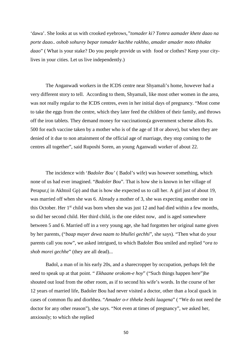'dawa'. She looks at us with crooked eyebrows*,"tomader ki? Tomra aamader khete daao na porte daao.. oshob sohurey bepar tomader kachhe rakhho, amader amader moto thhakte daao*" ( What is your stake? Do you people provide us with food or clothes? Keep your citylives in your cities. Let us live independently.)

The Anganwadi workers in the ICDS centre near Shyamali's home, however had a very different story to tell. According to them, Shyamali, like most other women in the area, was not really regular to the ICDS centres, even in her initial days of pregnancy. "Most come to take the eggs from the centre, which they later feed the children of their family, and throws off the iron tablets. They demand money for vaccinations(a government scheme allots Rs. 500 for each vaccine taken by a mother who is of the age of 18 or above), but when they are denied of it due to non attainment of the official age of marriage, they stop coming to the centres all together", said Ruposhi Soren, an young Aganwadi worker of about 22.

The incidence with '*Badoler Bou'* ( Badol's wife) was however something, which none of us had ever imagined. "*Badoler Bou*". That is how she is known in her village of Perapur,( in Akhtoil Gp) and that is how she expected us to call her. A girl just of about 19, was married off when she was 6. Already a mother of 3, she was expecting another one in this October. Her 1<sup>st</sup> child was born when she was just 12 and had died within a few months, so did her second child. Her third child, is the one eldest now, and is aged somewhere between 5 and 6. Married off in a very young age, she had forgotten her original name given by her parents, ("*baap mayer dewa naam to bhullei gechhi*", she says). "Then what do your parents call you now", we asked intrigued, to which Badoler Bou smiled and replied "*ora to shob morei gechhe*" (they are all dead)...

Badol, a man of in his early 20s, and a sharecropper by occupation, perhaps felt the need to speak up at that point. " *Ekhaane orokom-e hoy*" ("Such things happen here")he shouted out loud from the other room, as if to second his wife's words. In the course of her 12 years of married life, Badoler Bou had never visited a doctor, other than a local quack in cases of common flu and diorhhea. "*Amader o-r thheke beshi laagena*" ( "We do not need the doctor for any other reason"), she says. "Not even at times of pregnancy", we asked her, anxiously; to which she replied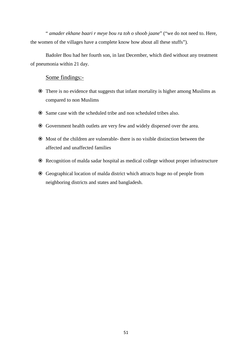" *amader ekhane baari r meye bou ra toh o shoob jaane*" ("we do not need to. Here, the women of the villages have a complete know how about all these stuffs").

Badoler Bou had her fourth son, in last December, which died without any treatment of pneumonia within 21 day.

#### Some findings:-

- There is no evidence that suggests that infant mortality is higher among Muslims as compared to non Muslims
- Same case with the scheduled tribe and non scheduled tribes also.
- Government health outlets are very few and widely dispersed over the area.
- Most of the children are vulnerable- there is no visible distinction between the affected and unaffected families
- Recognition of malda sadar hospital as medical college without proper infrastructure
- <span id="page-50-0"></span> Geographical location of malda district which attracts huge no of people from neighboring districts and states and bangladesh.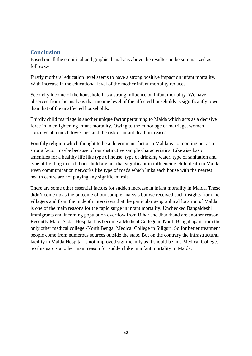# **Conclusion**

Based on all the empirical and graphical analysis above the results can be summarized as follows:-

Firstly mothers' education level seems to have a strong positive impact on infant mortality. With increase in the educational level of the mother infant mortality reduces.

Secondly income of the household has a strong influence on infant mortality. We have observed from the analysis that income level of the affected households is significantly lower than that of the unaffected households.

Thirdly child marriage is another unique factor pertaining to Malda which acts as a decisive force in in enlightening infant mortality. Owing to the minor age of marriage, women conceive at a much lower age and the risk of infant death increases.

Fourthly religion which thought to be a determinant factor in Malda is not coming out as a strong factor maybe because of our distinctive sample characteristics. Likewise basic amenities for a healthy life like type of house, type of drinking water, type of sanitation and type of lighting in each household are not that significant in influencing child death in Malda. Even communication networks like type of roads which links each house with the nearest health centre are not playing any significant role.

There are some other essential factors for sudden increase in infant mortality in Malda. These didn't come up as the outcome of our sample analysis but we received such insights from the villagers and from the in depth interviews that the particular geographical location of Malda is one of the main reasons for the rapid surge in infant mortality. Unchecked Bangaldeshi Immigrants and incoming population overflow from Bihar and Jharkhand are another reason. Recently MaldaSadar Hospital has become a Medical College in North Bengal apart from the only other medical college -North Bengal Medical College in Siliguri. So for better treatment people come from numerous sources outside the state. But on the contrary the infrastructural facility in Malda Hospital is not improved significantly as it should be in a Medical College. So this gap is another main reason for sudden hike in infant mortality in Malda.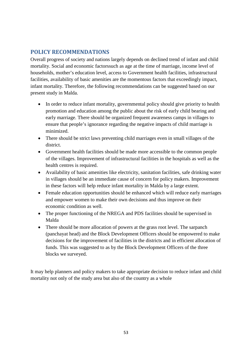# <span id="page-52-0"></span>**POLICY RECOMMENDATIONS**

Overall progress of society and nations largely depends on declined trend of infant and child mortality. Social and economic factorssuch as age at the time of marriage, income level of households, mother's education level, access to Government health facilities, infrastructural facilities, availability of basic amenities are the momentous factors that exceedingly impact, infant mortality. Therefore, the following recommendations can be suggested based on our present study in Malda.

- In order to reduce infant mortality, governmental policy should give priority to health promotion and education among the public about the risk of early child bearing and early marriage. There should be organized frequent awareness camps in villages to ensure that people's ignorance regarding the negative impacts of child marriage is minimized.
- There should be strict laws preventing child marriages even in small villages of the district.
- Government health facilities should be made more accessible to the common people of the villages. Improvement of infrastructural facilities in the hospitals as well as the health centres is required.
- Availability of basic amenities like electricity, sanitation facilities, safe drinking water in villages should be an immediate cause of concern for policy makers. Improvement in these factors will help reduce infant mortality in Malda by a large extent.
- Female education opportunities should be enhanced which will reduce early marriages and empower women to make their own decisions and thus improve on their economic condition as well.
- The proper functioning of the NREGA and PDS facilities should be supervised in Malda
- There should be more allocation of powers at the grass root level. The sarpanch (panchayat head) and the Block Development Officers should be empowered to make decisions for the improvement of facilities in the districts and in efficient allocation of funds. This was suggested to as by the Block Development Officers of the three blocks we surveyed.

It may help planners and policy makers to take appropriate decision to reduce infant and child mortality not only of the study area but also of the country as a whole